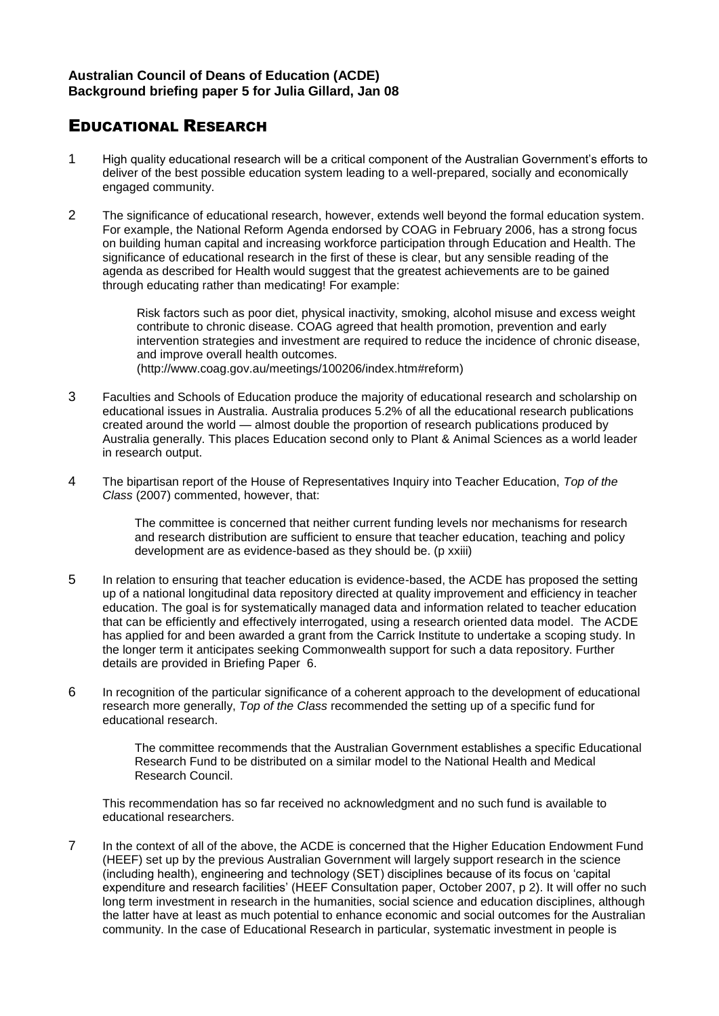## EDUCATIONAL RESEARCH

- 1 High quality educational research will be a critical component of the Australian Government's efforts to deliver of the best possible education system leading to a well-prepared, socially and economically engaged community.
- 2 The significance of educational research, however, extends well beyond the formal education system. For example, the National Reform Agenda endorsed by COAG in February 2006, has a strong focus on building human capital and increasing workforce participation through Education and Health. The significance of educational research in the first of these is clear, but any sensible reading of the agenda as described for Health would suggest that the greatest achievements are to be gained through educating rather than medicating! For example:

Risk factors such as poor diet, physical inactivity, smoking, alcohol misuse and excess weight contribute to chronic disease. COAG agreed that health promotion, prevention and early intervention strategies and investment are required to reduce the incidence of chronic disease, and improve overall health outcomes. (http://www.coag.gov.au/meetings/100206/index.htm#reform)

- 3 Faculties and Schools of Education produce the majority of educational research and scholarship on educational issues in Australia. Australia produces 5.2% of all the educational research publications created around the world — almost double the proportion of research publications produced by Australia generally. This places Education second only to Plant & Animal Sciences as a world leader in research output.
- 4 The bipartisan report of the House of Representatives Inquiry into Teacher Education, *Top of the Class* (2007) commented, however, that:

The committee is concerned that neither current funding levels nor mechanisms for research and research distribution are sufficient to ensure that teacher education, teaching and policy development are as evidence-based as they should be. (p xxiii)

- 5 In relation to ensuring that teacher education is evidence-based, the ACDE has proposed the setting up of a national longitudinal data repository directed at quality improvement and efficiency in teacher education. The goal is for systematically managed data and information related to teacher education that can be efficiently and effectively interrogated, using a research oriented data model. The ACDE has applied for and been awarded a grant from the Carrick Institute to undertake a scoping study. In the longer term it anticipates seeking Commonwealth support for such a data repository. Further details are provided in Briefing Paper 6.
- 6 In recognition of the particular significance of a coherent approach to the development of educational research more generally, *Top of the Class* recommended the setting up of a specific fund for educational research.

The committee recommends that the Australian Government establishes a specific Educational Research Fund to be distributed on a similar model to the National Health and Medical Research Council.

This recommendation has so far received no acknowledgment and no such fund is available to educational researchers.

7 In the context of all of the above, the ACDE is concerned that the Higher Education Endowment Fund (HEEF) set up by the previous Australian Government will largely support research in the science (including health), engineering and technology (SET) disciplines because of its focus on 'capital expenditure and research facilities' (HEEF Consultation paper, October 2007, p 2). It will offer no such long term investment in research in the humanities, social science and education disciplines, although the latter have at least as much potential to enhance economic and social outcomes for the Australian community. In the case of Educational Research in particular, systematic investment in people is